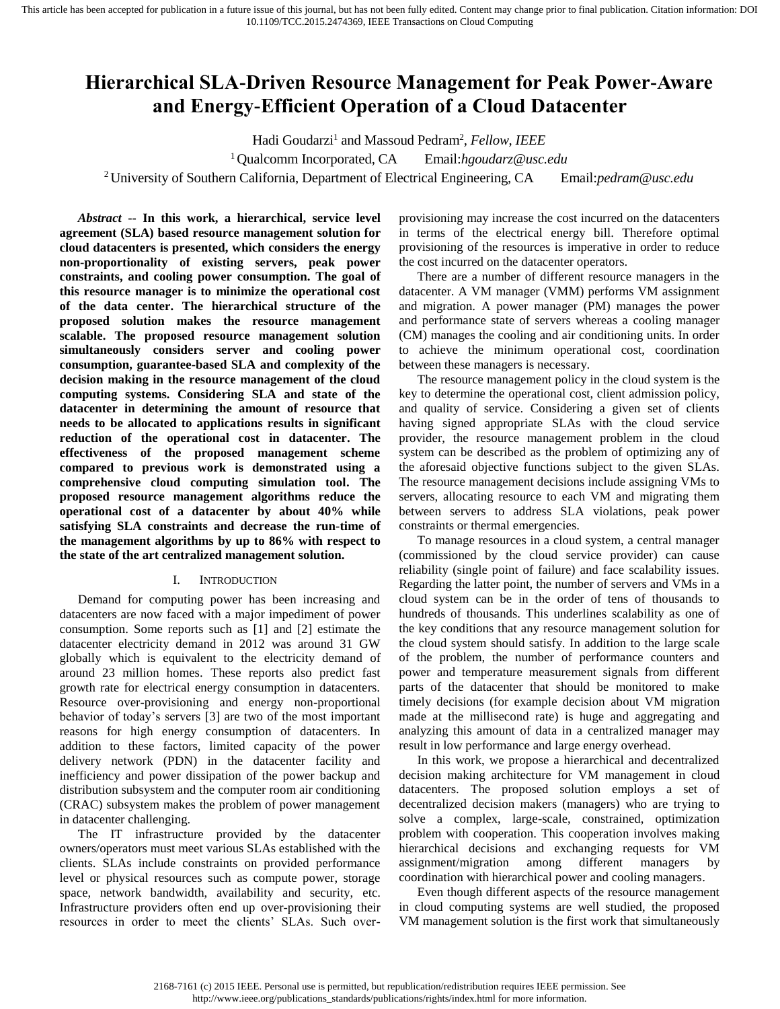# **Hierarchical SLA-Driven Resource Management for Peak Power-Aware and Energy-Efficient Operation of a Cloud Datacenter**

Hadi Goudarzi<sup>1</sup> and Massoud Pedram<sup>2</sup>, Fellow, IEEE

<sup>1</sup>Qualcomm Incorporated, CA Email:*hgoudarz*@*usc.edu*

<sup>2</sup>University of Southern California, Department of Electrical Engineering, CA Email:*pedram*@*usc.edu*

*Abstract* **-- In this work, a hierarchical, service level agreement (SLA) based resource management solution for cloud datacenters is presented, which considers the energy non-proportionality of existing servers, peak power constraints, and cooling power consumption. The goal of this resource manager is to minimize the operational cost of the data center. The hierarchical structure of the proposed solution makes the resource management scalable. The proposed resource management solution simultaneously considers server and cooling power consumption, guarantee-based SLA and complexity of the decision making in the resource management of the cloud computing systems. Considering SLA and state of the datacenter in determining the amount of resource that needs to be allocated to applications results in significant reduction of the operational cost in datacenter. The effectiveness of the proposed management scheme compared to previous work is demonstrated using a comprehensive cloud computing simulation tool. The proposed resource management algorithms reduce the operational cost of a datacenter by about 40% while satisfying SLA constraints and decrease the run-time of the management algorithms by up to 86% with respect to the state of the art centralized management solution.**

## I. INTRODUCTION

Demand for computing power has been increasing and datacenters are now faced with a major impediment of power consumption. Some reports such as [1] and [2] estimate the datacenter electricity demand in 2012 was around 31 GW globally which is equivalent to the electricity demand of around 23 million homes. These reports also predict fast growth rate for electrical energy consumption in datacenters. Resource over-provisioning and energy non-proportional behavior of today's servers [3] are two of the most important reasons for high energy consumption of datacenters. In addition to these factors, limited capacity of the power delivery network (PDN) in the datacenter facility and inefficiency and power dissipation of the power backup and distribution subsystem and the computer room air conditioning (CRAC) subsystem makes the problem of power management in datacenter challenging.

The IT infrastructure provided by the datacenter owners/operators must meet various SLAs established with the clients. SLAs include constraints on provided performance level or physical resources such as compute power, storage space, network bandwidth, availability and security, etc. Infrastructure providers often end up over-provisioning their resources in order to meet the clients' SLAs. Such overprovisioning may increase the cost incurred on the datacenters in terms of the electrical energy bill. Therefore optimal provisioning of the resources is imperative in order to reduce the cost incurred on the datacenter operators.

There are a number of different resource managers in the datacenter. A VM manager (VMM) performs VM assignment and migration. A power manager (PM) manages the power and performance state of servers whereas a cooling manager (CM) manages the cooling and air conditioning units. In order to achieve the minimum operational cost, coordination between these managers is necessary.

The resource management policy in the cloud system is the key to determine the operational cost, client admission policy, and quality of service. Considering a given set of clients having signed appropriate SLAs with the cloud service provider, the resource management problem in the cloud system can be described as the problem of optimizing any of the aforesaid objective functions subject to the given SLAs. The resource management decisions include assigning VMs to servers, allocating resource to each VM and migrating them between servers to address SLA violations, peak power constraints or thermal emergencies.

To manage resources in a cloud system, a central manager (commissioned by the cloud service provider) can cause reliability (single point of failure) and face scalability issues. Regarding the latter point, the number of servers and VMs in a cloud system can be in the order of tens of thousands to hundreds of thousands. This underlines scalability as one of the key conditions that any resource management solution for the cloud system should satisfy. In addition to the large scale of the problem, the number of performance counters and power and temperature measurement signals from different parts of the datacenter that should be monitored to make timely decisions (for example decision about VM migration made at the millisecond rate) is huge and aggregating and analyzing this amount of data in a centralized manager may result in low performance and large energy overhead.

In this work, we propose a hierarchical and decentralized decision making architecture for VM management in cloud datacenters. The proposed solution employs a set of decentralized decision makers (managers) who are trying to solve a complex, large-scale, constrained, optimization problem with cooperation. This cooperation involves making hierarchical decisions and exchanging requests for VM assignment/migration among different managers by coordination with hierarchical power and cooling managers.

Even though different aspects of the resource management in cloud computing systems are well studied, the proposed VM management solution is the first work that simultaneously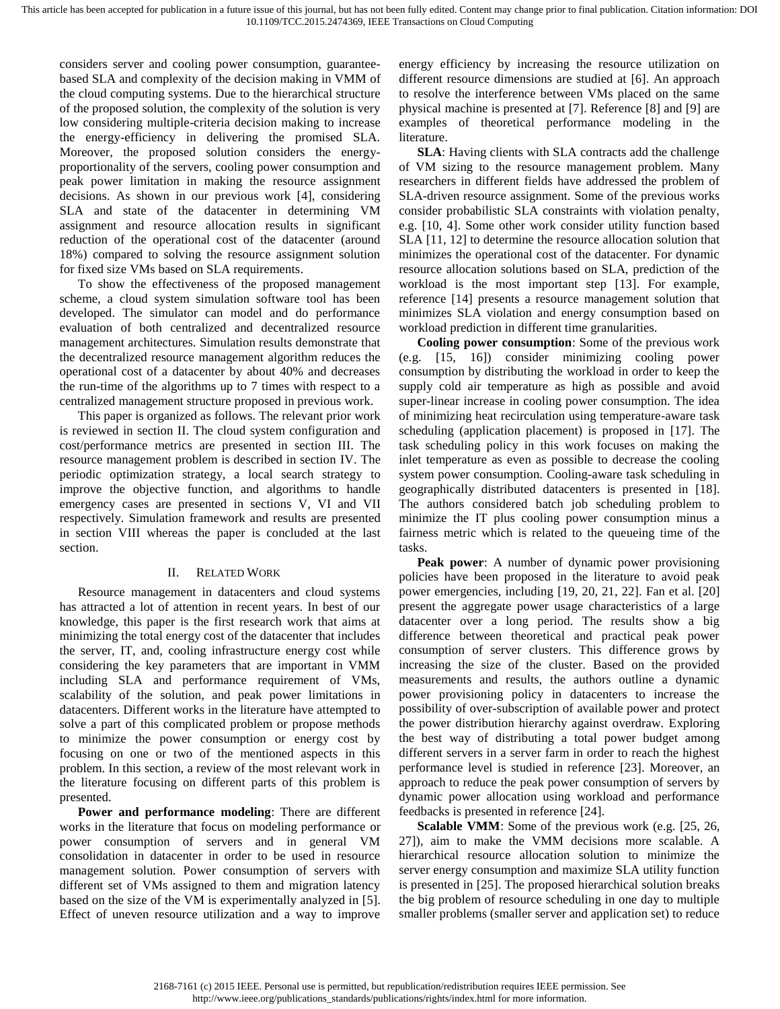considers server and cooling power consumption, guaranteebased SLA and complexity of the decision making in VMM of the cloud computing systems. Due to the hierarchical structure of the proposed solution, the complexity of the solution is very low considering multiple-criteria decision making to increase the energy-efficiency in delivering the promised SLA. Moreover, the proposed solution considers the energyproportionality of the servers, cooling power consumption and peak power limitation in making the resource assignment decisions. As shown in our previous work [4], considering SLA and state of the datacenter in determining VM assignment and resource allocation results in significant reduction of the operational cost of the datacenter (around 18%) compared to solving the resource assignment solution for fixed size VMs based on SLA requirements.

To show the effectiveness of the proposed management scheme, a cloud system simulation software tool has been developed. The simulator can model and do performance evaluation of both centralized and decentralized resource management architectures. Simulation results demonstrate that the decentralized resource management algorithm reduces the operational cost of a datacenter by about 40% and decreases the run-time of the algorithms up to 7 times with respect to a centralized management structure proposed in previous work.

This paper is organized as follows. The relevant prior work is reviewed in section [II.](#page-1-0) The cloud system configuration and cost/performance metrics are presented in section [III.](#page-2-0) The resource management problem is described in section [IV.](#page-4-0) The periodic optimization strategy, a local search strategy to improve the objective function, and algorithms to handle emergency cases are presented in sections [V,](#page-6-0) [VI](#page-8-0) and [VII](#page-9-0) respectively. Simulation framework and results are presented in section [VIII](#page-9-1) whereas the paper is concluded at the last section.

## II. RELATED WORK

<span id="page-1-0"></span>Resource management in datacenters and cloud systems has attracted a lot of attention in recent years. In best of our knowledge, this paper is the first research work that aims at minimizing the total energy cost of the datacenter that includes the server, IT, and, cooling infrastructure energy cost while considering the key parameters that are important in VMM including SLA and performance requirement of VMs, scalability of the solution, and peak power limitations in datacenters. Different works in the literature have attempted to solve a part of this complicated problem or propose methods to minimize the power consumption or energy cost by focusing on one or two of the mentioned aspects in this problem. In this section, a review of the most relevant work in the literature focusing on different parts of this problem is presented.

**Power and performance modeling**: There are different works in the literature that focus on modeling performance or power consumption of servers and in general VM consolidation in datacenter in order to be used in resource management solution. Power consumption of servers with different set of VMs assigned to them and migration latency based on the size of the VM is experimentally analyzed in [5]. Effect of uneven resource utilization and a way to improve

energy efficiency by increasing the resource utilization on different resource dimensions are studied at [6]. An approach to resolve the interference between VMs placed on the same physical machine is presented at [7]. Reference [8] and [9] are examples of theoretical performance modeling in the literature.

**SLA**: Having clients with SLA contracts add the challenge of VM sizing to the resource management problem. Many researchers in different fields have addressed the problem of SLA-driven resource assignment. Some of the previous works consider probabilistic SLA constraints with violation penalty, e.g. [10, 4]. Some other work consider utility function based SLA [11, 12] to determine the resource allocation solution that minimizes the operational cost of the datacenter. For dynamic resource allocation solutions based on SLA, prediction of the workload is the most important step [13]. For example, reference [14] presents a resource management solution that minimizes SLA violation and energy consumption based on workload prediction in different time granularities.

**Cooling power consumption**: Some of the previous work (e.g. [15, 16]) consider minimizing cooling power consumption by distributing the workload in order to keep the supply cold air temperature as high as possible and avoid super-linear increase in cooling power consumption. The idea of minimizing heat recirculation using temperature-aware task scheduling (application placement) is proposed in [17]. The task scheduling policy in this work focuses on making the inlet temperature as even as possible to decrease the cooling system power consumption. Cooling-aware task scheduling in geographically distributed datacenters is presented in [18]. The authors considered batch job scheduling problem to minimize the IT plus cooling power consumption minus a fairness metric which is related to the queueing time of the tasks.

**Peak power**: A number of dynamic power provisioning policies have been proposed in the literature to avoid peak power emergencies, including [19, 20, 21, 22]. Fan et al. [20] present the aggregate power usage characteristics of a large datacenter over a long period. The results show a big difference between theoretical and practical peak power consumption of server clusters. This difference grows by increasing the size of the cluster. Based on the provided measurements and results, the authors outline a dynamic power provisioning policy in datacenters to increase the possibility of over-subscription of available power and protect the power distribution hierarchy against overdraw. Exploring the best way of distributing a total power budget among different servers in a server farm in order to reach the highest performance level is studied in reference [23]. Moreover, an approach to reduce the peak power consumption of servers by dynamic power allocation using workload and performance feedbacks is presented in reference [24].

**Scalable VMM**: Some of the previous work (e.g. [25, 26, 27]), aim to make the VMM decisions more scalable. A hierarchical resource allocation solution to minimize the server energy consumption and maximize SLA utility function is presented in [25]. The proposed hierarchical solution breaks the big problem of resource scheduling in one day to multiple smaller problems (smaller server and application set) to reduce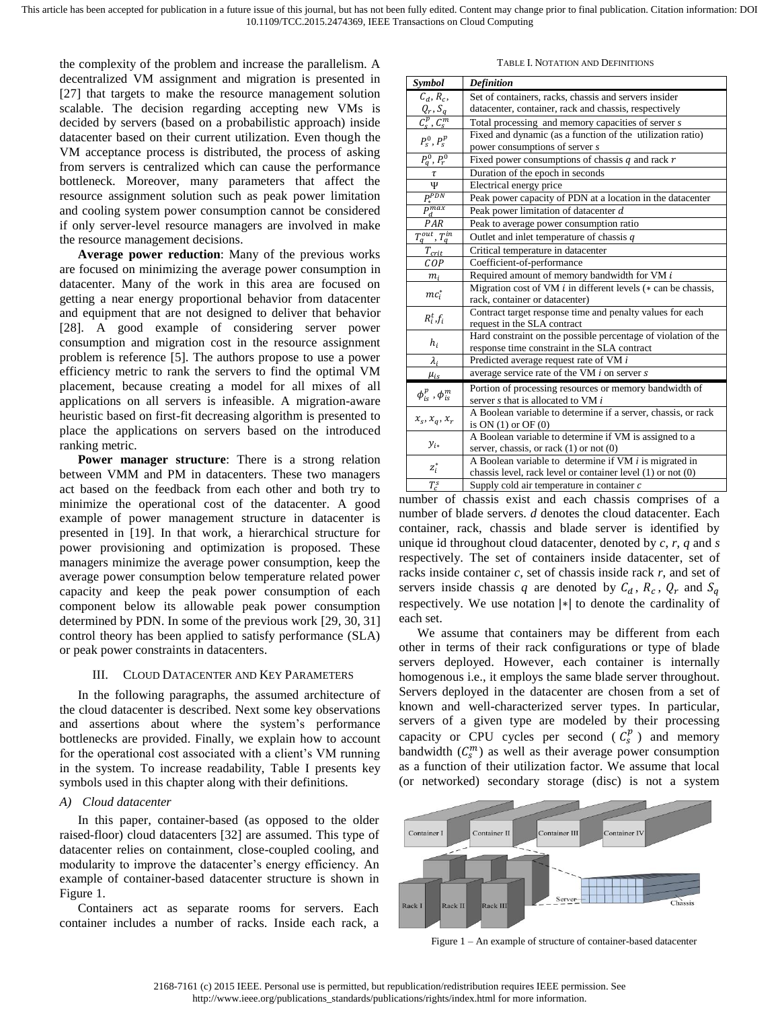This article has been accepted for publication in a future issue of this journal, but has not been fully edited. Content may change prior to final publication. Citation information: DOI 10.1109/TCC.2015.2474369, IEEE Transactions on Cloud Computing

the complexity of the problem and increase the parallelism. A decentralized VM assignment and migration is presented in [27] that targets to make the resource management solution scalable. The decision regarding accepting new VMs is decided by servers (based on a probabilistic approach) inside datacenter based on their current utilization. Even though the VM acceptance process is distributed, the process of asking from servers is centralized which can cause the performance bottleneck. Moreover, many parameters that affect the resource assignment solution such as peak power limitation and cooling system power consumption cannot be considered if only server-level resource managers are involved in make the resource management decisions.

**Average power reduction**: Many of the previous works are focused on minimizing the average power consumption in datacenter. Many of the work in this area are focused on getting a near energy proportional behavior from datacenter and equipment that are not designed to deliver that behavior [28]. A good example of considering server power consumption and migration cost in the resource assignment problem is reference [5]. The authors propose to use a power efficiency metric to rank the servers to find the optimal VM placement, because creating a model for all mixes of all applications on all servers is infeasible. A migration-aware heuristic based on first-fit decreasing algorithm is presented to place the applications on servers based on the introduced ranking metric.

**Power manager structure**: There is a strong relation between VMM and PM in datacenters. These two managers act based on the feedback from each other and both try to minimize the operational cost of the datacenter. A good example of power management structure in datacenter is presented in [19]. In that work, a hierarchical structure for power provisioning and optimization is proposed. These managers minimize the average power consumption, keep the average power consumption below temperature related power capacity and keep the peak power consumption of each component below its allowable peak power consumption determined by PDN. In some of the previous work [29, 30, 31] control theory has been applied to satisfy performance (SLA) or peak power constraints in datacenters.

#### III. CLOUD DATACENTER AND KEY PARAMETERS

<span id="page-2-0"></span>In the following paragraphs, the assumed architecture of the cloud datacenter is described. Next some key observations and assertions about where the system's performance bottlenecks are provided. Finally, we explain how to account for the operational cost associated with a client's VM running in the system. To increase readability, [Table I](#page-2-1) presents key symbols used in this chapter along with their definitions.

#### *A) Cloud datacenter*

In this paper, container-based (as opposed to the older raised-floor) cloud datacenters [32] are assumed. This type of datacenter relies on containment, close-coupled cooling, and modularity to improve the datacenter's energy efficiency. An example of container-based datacenter structure is shown in [Figure 1.](#page-2-2)

Containers act as separate rooms for servers. Each container includes a number of racks. Inside each rack, a

TABLE I. NOTATION AND DEFINITIONS

<span id="page-2-1"></span>

| Symbol                            | <b>Definition</b>                                                                                                            |
|-----------------------------------|------------------------------------------------------------------------------------------------------------------------------|
| $C_d, R_c,$                       | Set of containers, racks, chassis and servers insider                                                                        |
|                                   | datacenter, container, rack and chassis, respectively                                                                        |
| $\frac{Q_r, S_q}{C_s^p, C_s^m}$   | Total processing and memory capacities of server s                                                                           |
| $P_s^0$ , $P_s^p$                 | Fixed and dynamic (as a function of the utilization ratio)<br>power consumptions of server s                                 |
| $P_q^0, P_r^0$                    | Fixed power consumptions of chassis $q$ and rack $r$                                                                         |
| τ                                 | Duration of the epoch in seconds                                                                                             |
| Ψ                                 | Electrical energy price                                                                                                      |
| $P_*^{PDN}$                       | Peak power capacity of PDN at a location in the datacenter                                                                   |
| $P_d^{max}$                       | Peak power limitation of datacenter d                                                                                        |
| PAR                               | Peak to average power consumption ratio                                                                                      |
| $T_q^{out}, T_q^{in}$             | Outlet and inlet temperature of chassis $q$                                                                                  |
| $T_{crit}$                        | Critical temperature in datacenter                                                                                           |
| COP                               | Coefficient-of-performance                                                                                                   |
| $m_i$                             | Required amount of memory bandwidth for VM i                                                                                 |
| $mc_i^*$                          | Migration cost of VM $i$ in different levels ( $*$ can be chassis,<br>rack, container or datacenter)                         |
| $R_i^t, f_i$                      | Contract target response time and penalty values for each<br>request in the SLA contract                                     |
| $h_i$                             | Hard constraint on the possible percentage of violation of the<br>response time constraint in the SLA contract               |
| $\lambda_i$                       | Predicted average request rate of VM i                                                                                       |
| $\mu_{is}$                        | average service rate of the VM $i$ on server $s$                                                                             |
| $\phi_{is}^{p}$ , $\phi_{is}^{m}$ | Portion of processing resources or memory bandwidth of<br>server s that is allocated to VM i                                 |
| $x_s$ , $x_q$ , $x_r$             | A Boolean variable to determine if a server, chassis, or rack<br>is $ON(1)$ or $OF(0)$                                       |
| $y_{i*}$                          | A Boolean variable to determine if VM is assigned to a<br>server, chassis, or rack $(1)$ or not $(0)$                        |
| $\mathbf{z}^*_i$                  | A Boolean variable to determine if VM <i>i</i> is migrated in<br>chassis level, rack level or container level (1) or not (0) |
| $T_c^s$                           | Supply cold air temperature in container $c$                                                                                 |

number of chassis exist and each chassis comprises of a number of blade servers. *d* denotes the cloud datacenter. Each container, rack, chassis and blade server is identified by unique id throughout cloud datacenter, denoted by *c*, *r*, *q* and *s*  respectively. The set of containers inside datacenter, set of racks inside container *c*, set of chassis inside rack *r*, and set of servers inside chassis q are denoted by  $C_d$ ,  $R_c$ ,  $Q_r$  and  $S_q$ respectively. We use notation |∗| to denote the cardinality of each set.

We assume that containers may be different from each other in terms of their rack configurations or type of blade servers deployed. However, each container is internally homogenous i.e., it employs the same blade server throughout. Servers deployed in the datacenter are chosen from a set of known and well-characterized server types. In particular, servers of a given type are modeled by their processing capacity or CPU cycles per second  $(C_s^p)$  and memory bandwidth  $(C_s^m)$  as well as their average power consumption as a function of their utilization factor. We assume that local (or networked) secondary storage (disc) is not a system



<span id="page-2-2"></span>Figure 1 – An example of structure of container-based datacenter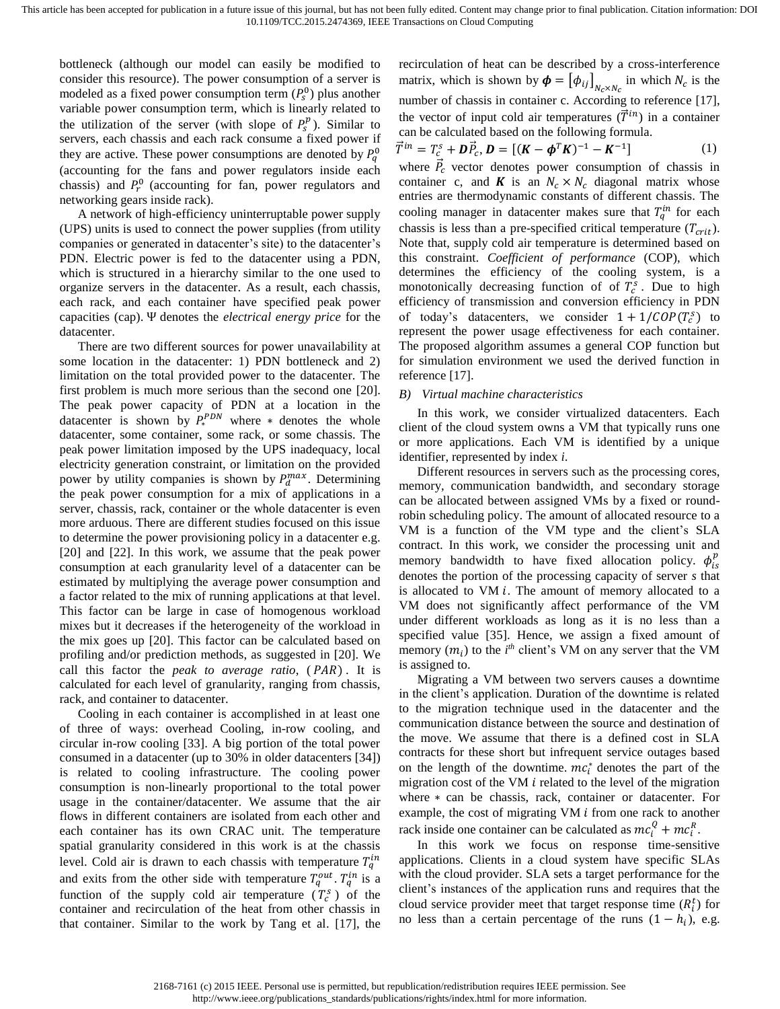bottleneck (although our model can easily be modified to consider this resource). The power consumption of a server is modeled as a fixed power consumption term  $(P_s^0)$  plus another variable power consumption term, which is linearly related to the utilization of the server (with slope of  $P_s^p$ ). Similar to servers, each chassis and each rack consume a fixed power if they are active. These power consumptions are denoted by  $P_q^0$ (accounting for the fans and power regulators inside each chassis) and  $P_r^0$  (accounting for fan, power regulators and networking gears inside rack).

A network of high-efficiency uninterruptable power supply (UPS) units is used to connect the power supplies (from utility companies or generated in datacenter's site) to the datacenter's PDN. Electric power is fed to the datacenter using a PDN, which is structured in a hierarchy similar to the one used to organize servers in the datacenter. As a result, each chassis, each rack, and each container have specified peak power capacities (cap). Ψ denotes the *electrical energy price* for the datacenter.

There are two different sources for power unavailability at some location in the datacenter: 1) PDN bottleneck and 2) limitation on the total provided power to the datacenter. The first problem is much more serious than the second one [20]. The peak power capacity of PDN at a location in the datacenter is shown by  $P_*^{PDN}$  where  $*$  denotes the whole datacenter, some container, some rack, or some chassis. The peak power limitation imposed by the UPS inadequacy, local electricity generation constraint, or limitation on the provided power by utility companies is shown by  $P_d^{max}$ . Determining the peak power consumption for a mix of applications in a server, chassis, rack, container or the whole datacenter is even more arduous. There are different studies focused on this issue to determine the power provisioning policy in a datacenter e.g. [20] and [22]. In this work, we assume that the peak power consumption at each granularity level of a datacenter can be estimated by multiplying the average power consumption and a factor related to the mix of running applications at that level. This factor can be large in case of homogenous workload mixes but it decreases if the heterogeneity of the workload in the mix goes up [20]. This factor can be calculated based on profiling and/or prediction methods, as suggested in [20]. We call this factor the *peak to average ratio*, (PAR). It is calculated for each level of granularity, ranging from chassis, rack, and container to datacenter.

Cooling in each container is accomplished in at least one of three of ways: overhead Cooling, in-row cooling, and circular in-row cooling [33]. A big portion of the total power consumed in a datacenter (up to 30% in older datacenters [34]) is related to cooling infrastructure. The cooling power consumption is non-linearly proportional to the total power usage in the container/datacenter. We assume that the air flows in different containers are isolated from each other and each container has its own CRAC unit. The temperature spatial granularity considered in this work is at the chassis level. Cold air is drawn to each chassis with temperature  $T_q^{in}$ and exits from the other side with temperature  $T_q^{out}$ .  $T_q^{in}$  is a function of the supply cold air temperature  $(T_c^s)$  of the container and recirculation of the heat from other chassis in that container. Similar to the work by Tang et al. [17], the

recirculation of heat can be described by a cross-interference matrix, which is shown by  $\boldsymbol{\phi} = [\phi_{ij}]_{N_c \times N_c}$  in which  $N_c$  is the number of chassis in container c. According to reference [17], the vector of input cold air temperatures  $(\vec{T}^{in})$  in a container can be calculated based on the following formula.

$$
\vec{T}^{in} = T_c^s + D\vec{P}_c, \, D = [(K - \phi^T K)^{-1} - K^{-1}] \tag{1}
$$

<span id="page-3-0"></span>where  $\vec{P}_c$  vector denotes power consumption of chassis in container c, and **K** is an  $N_c \times N_c$  diagonal matrix whose entries are thermodynamic constants of different chassis. The cooling manager in datacenter makes sure that  $T_q^{in}$  for each chassis is less than a pre-specified critical temperature  $(T_{crit})$ . Note that, supply cold air temperature is determined based on this constraint. *Coefficient of performance* (COP), which determines the efficiency of the cooling system, is a monotonically decreasing function of of  $T_c^s$ . Due to high efficiency of transmission and conversion efficiency in PDN of today's datacenters, we consider  $1 + 1/COP(T_c^s)$  to represent the power usage effectiveness for each container. The proposed algorithm assumes a general COP function but for simulation environment we used the derived function in reference [17].

## *B) Virtual machine characteristics*

In this work, we consider virtualized datacenters. Each client of the cloud system owns a VM that typically runs one or more applications. Each VM is identified by a unique identifier, represented by index *i*.

Different resources in servers such as the processing cores, memory, communication bandwidth, and secondary storage can be allocated between assigned VMs by a fixed or roundrobin scheduling policy. The amount of allocated resource to a VM is a function of the VM type and the client's SLA contract. In this work, we consider the processing unit and memory bandwidth to have fixed allocation policy.  $\phi_{is}^p$ denotes the portion of the processing capacity of server *s* that is allocated to VM  $i$ . The amount of memory allocated to a VM does not significantly affect performance of the VM under different workloads as long as it is no less than a specified value [35]. Hence, we assign a fixed amount of memory  $(m_i)$  to the  $i^{th}$  client's VM on any server that the VM is assigned to.

Migrating a VM between two servers causes a downtime in the client's application. Duration of the downtime is related to the migration technique used in the datacenter and the communication distance between the source and destination of the move. We assume that there is a defined cost in SLA contracts for these short but infrequent service outages based on the length of the downtime.  $mc_i^*$  denotes the part of the migration cost of the VM  $i$  related to the level of the migration where ∗ can be chassis, rack, container or datacenter. For example, the cost of migrating VM  $i$  from one rack to another rack inside one container can be calculated as  $mc_i^Q + mc_i^R$ .

In this work we focus on response time-sensitive applications. Clients in a cloud system have specific SLAs with the cloud provider. SLA sets a target performance for the client's instances of the application runs and requires that the cloud service provider meet that target response time  $(R_i^t)$  for no less than a certain percentage of the runs  $(1 - h_i)$ , e.g.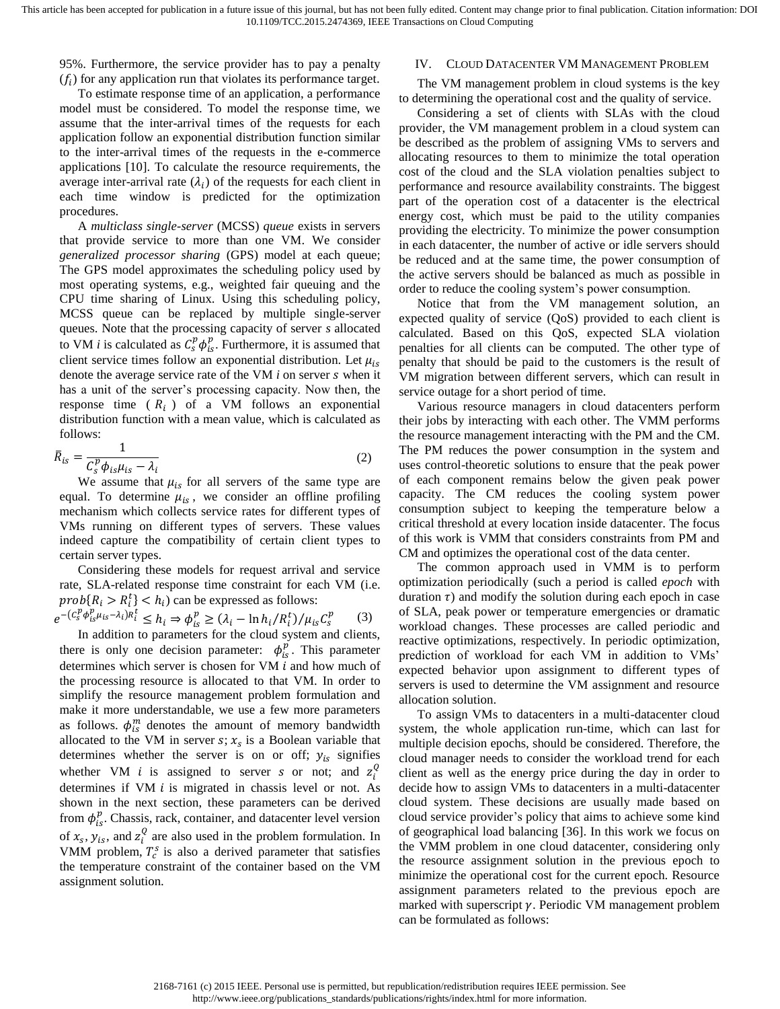95%. Furthermore, the service provider has to pay a penalty  $(f_i)$  for any application run that violates its performance target.

To estimate response time of an application, a performance model must be considered. To model the response time, we assume that the inter-arrival times of the requests for each application follow an exponential distribution function similar to the inter-arrival times of the requests in the e-commerce applications [10]. To calculate the resource requirements, the average inter-arrival rate  $(\lambda_i)$  of the requests for each client in each time window is predicted for the optimization procedures.

A *multiclass single-server* (MCSS) *queue* exists in servers that provide service to more than one VM. We consider *generalized processor sharing* (GPS) model at each queue; The GPS model approximates the scheduling policy used by most operating systems, e.g., weighted fair queuing and the CPU time sharing of Linux. Using this scheduling policy, MCSS queue can be replaced by multiple single-server queues. Note that the processing capacity of server *s* allocated to VM *i* is calculated as  $C_s^p \phi_{is}^p$ . Furthermore, it is assumed that client service times follow an exponential distribution. Let  $\mu_{is}$ denote the average service rate of the VM *i* on server *s* when it has a unit of the server's processing capacity. Now then, the response time  $(R_i)$  of a VM follows an exponential distribution function with a mean value, which is calculated as follows:

$$
\bar{R}_{is} = \frac{1}{C_s^p \phi_{is} \mu_{is} - \lambda_i} \tag{2}
$$

We assume that  $\mu_{is}$  for all servers of the same type are equal. To determine  $\mu_{is}$ , we consider an offline profiling mechanism which collects service rates for different types of VMs running on different types of servers. These values indeed capture the compatibility of certain client types to certain server types.

Considering these models for request arrival and service rate, SLA-related response time constraint for each VM (i.e.  $prob\{R_i > R_i^t\} < h_i)$  can be expressed as follows:

$$
e^{-(c_s^p \phi_{is}^p \mu_{is} - \lambda_i)R_i^t} \le h_i \Rightarrow \phi_{is}^p \ge (\lambda_i - \ln h_i / R_i^t) / \mu_{is} C_s^p \tag{3}
$$

In addition to parameters for the cloud system and clients, there is only one decision parameter:  $\phi_{is}^{p}$ . This parameter determines which server is chosen for VM  $i$  and how much of the processing resource is allocated to that VM. In order to simplify the resource management problem formulation and make it more understandable, we use a few more parameters as follows.  $\phi_{is}^{m}$  denotes the amount of memory bandwidth allocated to the VM in server  $s$ ;  $x_s$  is a Boolean variable that determines whether the server is on or off;  $y_{is}$  signifies whether VM *i* is assigned to server *s* or not; and  $z_i^Q$ determines if VM  $i$  is migrated in chassis level or not. As shown in the next section, these parameters can be derived from  $\phi_{is}^p$ . Chassis, rack, container, and datacenter level version of  $x_s$ ,  $y_{is}$ , and  $z_i^Q$  are also used in the problem formulation. In VMM problem,  $T_c^s$  is also a derived parameter that satisfies the temperature constraint of the container based on the VM assignment solution.

## <span id="page-4-0"></span>IV. CLOUD DATACENTER VM MANAGEMENT PROBLEM

The VM management problem in cloud systems is the key to determining the operational cost and the quality of service.

Considering a set of clients with SLAs with the cloud provider, the VM management problem in a cloud system can be described as the problem of assigning VMs to servers and allocating resources to them to minimize the total operation cost of the cloud and the SLA violation penalties subject to performance and resource availability constraints. The biggest part of the operation cost of a datacenter is the electrical energy cost, which must be paid to the utility companies providing the electricity. To minimize the power consumption in each datacenter, the number of active or idle servers should be reduced and at the same time, the power consumption of the active servers should be balanced as much as possible in order to reduce the cooling system's power consumption.

Notice that from the VM management solution, an expected quality of service (QoS) provided to each client is calculated. Based on this QoS, expected SLA violation penalties for all clients can be computed. The other type of penalty that should be paid to the customers is the result of VM migration between different servers, which can result in service outage for a short period of time.

Various resource managers in cloud datacenters perform their jobs by interacting with each other. The VMM performs the resource management interacting with the PM and the CM. The PM reduces the power consumption in the system and uses control-theoretic solutions to ensure that the peak power of each component remains below the given peak power capacity. The CM reduces the cooling system power consumption subject to keeping the temperature below a critical threshold at every location inside datacenter. The focus of this work is VMM that considers constraints from PM and CM and optimizes the operational cost of the data center.

The common approach used in VMM is to perform optimization periodically (such a period is called *epoch* with duration  $\tau$ ) and modify the solution during each epoch in case of SLA, peak power or temperature emergencies or dramatic workload changes. These processes are called periodic and reactive optimizations, respectively. In periodic optimization, prediction of workload for each VM in addition to VMs' expected behavior upon assignment to different types of servers is used to determine the VM assignment and resource allocation solution.

To assign VMs to datacenters in a multi-datacenter cloud system, the whole application run-time, which can last for multiple decision epochs, should be considered. Therefore, the cloud manager needs to consider the workload trend for each client as well as the energy price during the day in order to decide how to assign VMs to datacenters in a multi-datacenter cloud system. These decisions are usually made based on cloud service provider's policy that aims to achieve some kind of geographical load balancing [36]. In this work we focus on the VMM problem in one cloud datacenter, considering only the resource assignment solution in the previous epoch to minimize the operational cost for the current epoch. Resource assignment parameters related to the previous epoch are marked with superscript  $\gamma$ . Periodic VM management problem can be formulated as follows: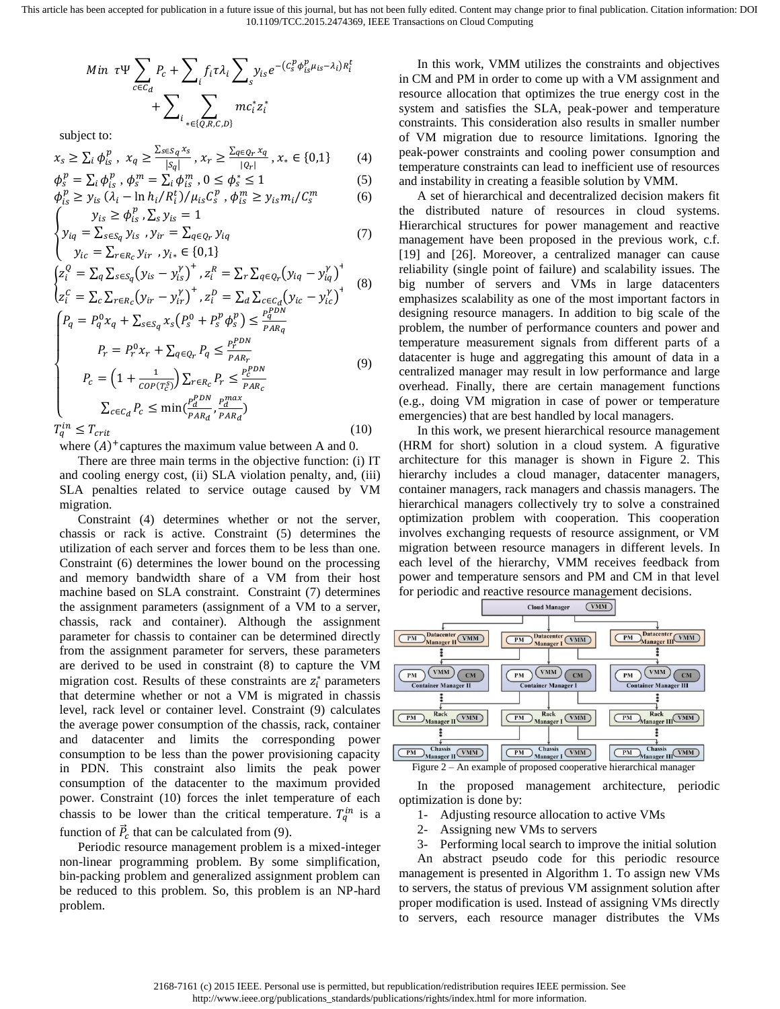This article has been accepted for publication in a future issue of this journal, but has not been fully edited. Content may change prior to final publication. Citation information: DOI 10.1109/TCC.2015.2474369, IEEE Transactions on Cloud Computing

$$
Min \ \tau \Psi \sum_{c \in C_d} P_c + \sum_i f_i \tau \lambda_i \sum_s y_{is} e^{-(C_s^p \phi_{is}^p \mu_{is} - \lambda_i) R_i^t} + \sum_i \sum_{*\in \{Q, R, C, D\}}
$$

subject to:

$$
x_{s} \ge \sum_{i} \phi_{is}^{p}, \quad x_{q} \ge \frac{\sum_{s \in S_{q}} x_{s}}{|s_{q}|}, \quad x_{r} \ge \frac{\sum_{q \in Q_{r}} x_{q}}{|q_{r}|}, \quad x_{*} \in \{0, 1\}
$$
(4)

$$
\begin{aligned}\n\phi_s^p &= \sum_i \phi_{is}^p, \ \phi_s^m = \sum_i \phi_{is}^m, \ 0 \le \phi_s^* \le 1 & (5) \\
\phi_{is}^p &\ge y_{is} \left(\lambda_i - \ln h_i / R_i^t\right) / \mu_{is} C_s^p, \ \phi_{is}^m \ge y_{is} m_i / C_s^m & (6)\n\end{aligned}
$$

$$
\begin{cases}\ny_{is} \ge \phi_{is}^p, \sum_s y_{is} = 1 \\
y_{iq} = \sum_{s \in S_q} y_{is} , y_{ir} = \sum_{q \in Q_r} y_{iq}\n\end{cases} \tag{7}
$$

$$
\begin{cases}\n y_{ic} = \sum_{r \in R_c} y_{ir}, y_{i*} \in \{0, 1\} \\
 y_{ic} = \sum_{r \in R_c} y_{ir}, y_{i*} \in \{0, 1\}\n\end{cases}
$$

$$
\begin{cases} z_i^Q = \sum_q \sum_{s \in S_q} (y_{is} - y_{is}^{\gamma})^+, z_i^R = \sum_r \sum_{q \in Q_r} (y_{iq} - y_{iq}^{\gamma})^+ \\ -c = \sum_{r \in S_r} \sum_{s \in S_r} (y_{is} - y_{is}^{\gamma})^+ - P = \sum_{r \in S_r} \sum_{s \in S_r} (y_{is} - y_{is}^{\gamma})^+ \end{cases} (8)
$$

$$
\left(z_{i}^{C} = \sum_{c} \sum_{r \in R_{c}} (y_{ir} - y_{ir}^{V})^{+}, z_{i}^{D} = \sum_{d} \sum_{c \in C_{d}} (y_{ic} - y_{ic}^{V})^{+} \right)
$$
\n
$$
\begin{cases}\nP_{q} = P_{q}^{0} x_{q} + \sum_{s \in S_{q}} x_{s} (P_{s}^{0} + P_{s}^{P} \phi_{s}^{P}) \leq \frac{P_{q}^{PDN}}{PAR_{q}} \\
P_{r} = P_{r}^{0} x_{r} + \sum_{q \in Q_{r}} P_{q} \leq \frac{P_{r}^{PDN}}{PAR_{r}} \\
P_{c} = \left(1 + \frac{1}{COP(T_{c}^{S})}\right) \sum_{r \in R_{c}} P_{r} \leq \frac{P_{c}^{PDN}}{PAR_{c}} \\
\sum_{c \in C_{d}} P_{c} \leq \min(\frac{P_{q}^{PDN}}{PAR_{d}}, \frac{P_{q}^{max}}{PAR_{d}}) \\
T_{q}^{in} \leq T_{crit}\n\end{cases} \tag{9}
$$

where  $(A)^+$  captures the maximum value between A and 0.

There are three main terms in the objective function: (i) IT and cooling energy cost, (ii) SLA violation penalty, and, (iii) SLA penalties related to service outage caused by VM migration.

Constraint [\(4\)](#page-5-0) determines whether or not the server, chassis or rack is active. Constraint [\(5\)](#page-5-1) determines the utilization of each server and forces them to be less than one. Constraint [\(6\)](#page-5-2) determines the lower bound on the processing and memory bandwidth share of a VM from their host machine based on SLA constraint. Constraint [\(7\)](#page-5-3) determines the assignment parameters (assignment of a VM to a server, chassis, rack and container). Although the assignment parameter for chassis to container can be determined directly from the assignment parameter for servers, these parameters are derived to be used in constraint [\(8\)](#page-5-4) to capture the VM migration cost. Results of these constraints are  $z_i^*$  parameters that determine whether or not a VM is migrated in chassis level, rack level or container level. Constraint [\(9\)](#page-5-5) calculates the average power consumption of the chassis, rack, container and datacenter and limits the corresponding power consumption to be less than the power provisioning capacity in PDN. This constraint also limits the peak power consumption of the datacenter to the maximum provided power. Constraint [\(10\)](#page-5-6) forces the inlet temperature of each chassis to be lower than the critical temperature.  $T_q^{in}$  is a function of  $\vec{P}_c$  that can be calculated from [\(9\).](#page-5-5)

Periodic resource management problem is a mixed-integer non-linear programming problem. By some simplification, bin-packing problem and generalized assignment problem can be reduced to this problem. So, this problem is an NP-hard problem.

In this work, VMM utilizes the constraints and objectives in CM and PM in order to come up with a VM assignment and resource allocation that optimizes the true energy cost in the system and satisfies the SLA, peak-power and temperature constraints. This consideration also results in smaller number of VM migration due to resource limitations. Ignoring the peak-power constraints and cooling power consumption and temperature constraints can lead to inefficient use of resources and instability in creating a feasible solution by VMM.

<span id="page-5-4"></span><span id="page-5-3"></span><span id="page-5-2"></span><span id="page-5-1"></span><span id="page-5-0"></span>A set of hierarchical and decentralized decision makers fit the distributed nature of resources in cloud systems. Hierarchical structures for power management and reactive management have been proposed in the previous work, c.f. [19] and [26]. Moreover, a centralized manager can cause reliability (single point of failure) and scalability issues. The big number of servers and VMs in large datacenters emphasizes scalability as one of the most important factors in designing resource managers. In addition to big scale of the problem, the number of performance counters and power and temperature measurement signals from different parts of a datacenter is huge and aggregating this amount of data in a centralized manager may result in low performance and large overhead. Finally, there are certain management functions (e.g., doing VM migration in case of power or temperature emergencies) that are best handled by local managers.

<span id="page-5-6"></span><span id="page-5-5"></span>In this work, we present hierarchical resource management (HRM for short) solution in a cloud system. A figurative architecture for this manager is shown in [Figure 2.](#page-5-7) This hierarchy includes a cloud manager, datacenter managers, container managers, rack managers and chassis managers. The hierarchical managers collectively try to solve a constrained optimization problem with cooperation. This cooperation involves exchanging requests of resource assignment, or VM migration between resource managers in different levels. In each level of the hierarchy, VMM receives feedback from power and temperature sensors and PM and CM in that level for periodic and reactive resource management decisions.



<span id="page-5-7"></span>In the proposed management architecture, periodic optimization is done by:

- 1- Adjusting resource allocation to active VMs
- 2- Assigning new VMs to servers
- 3- Performing local search to improve the initial solution

An abstract pseudo code for this periodic resource management is presented in Algorithm 1. To assign new VMs to servers, the status of previous VM assignment solution after proper modification is used. Instead of assigning VMs directly to servers, each resource manager distributes the VMs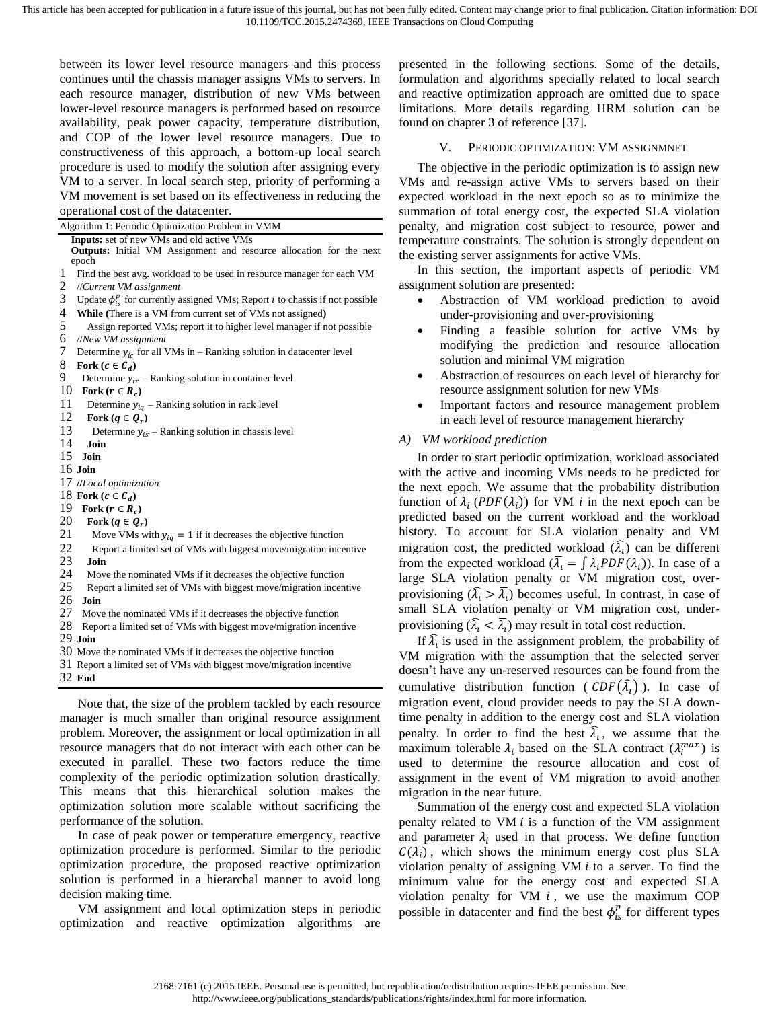between its lower level resource managers and this process continues until the chassis manager assigns VMs to servers. In each resource manager, distribution of new VMs between lower-level resource managers is performed based on resource availability, peak power capacity, temperature distribution, and COP of the lower level resource managers. Due to constructiveness of this approach, a bottom-up local search procedure is used to modify the solution after assigning every VM to a server. In local search step, priority of performing a VM movement is set based on its effectiveness in reducing the operational cost of the datacenter.

- **Inputs:** set of new VMs and old active VMs
- **Outputs:** Initial VM Assignment and resource allocation for the next epoch
- 1 Find the best avg. workload to be used in resource manager for each VM
- 2 //*Current VM assignment*<br>3 Update  $\phi_i^p$  for currently a
- 3 Update  $\phi_{is}^p$  for currently assigned VMs; Report *i* to chassis if not possible
- 4 **While (**There is a VM from current set of VMs not assigned**)**
- 5 Assign reported VMs; report it to higher level manager if not possible
- 6 //*New VM assignment*
- 7 Determine  $y_{ic}$  for all VMs in Ranking solution in datacenter level **Fork** ( $c \in C_d$ )
- 8 **Fork**  $(c \in C_d)$ <br>9 Determine *y*.
- Determine  $y_{ir}$  Ranking solution in container level
- 10 **Fork**  $(r \in R_c)$
- 11 Determine  $y_{iq}$  Ranking solution in rack level
- 12 **Fork**  $(q \in Q_r)$

13 Determine  $y_{is}$  – Ranking solution in chassis level

- 14 **Join**
- 15 **Join**
- 16 **Join**
- 17 **//***Local optimization*
- 18 **Fork** ( $c \in C_d$ )
- 19 **Fork**  $(r \in R_c)$
- 20 **Fork**  $(q \in Q_r)$
- 21 Move VMs with  $y_{iq} = 1$  if it decreases the objective function<br>22 Report a limited set of VMs with biggest move/migration ince
- Report a limited set of VMs with biggest move/migration incentive 23 **Join**
- Move the nominated VMs if it decreases the objective function
- 25 Report a limited set of VMs with biggest move/migration incentive<br>26 Join
- 26 **Join**
- 27 Move the nominated VMs if it decreases the objective function
- 28 Report a limited set of VMs with biggest move/migration incentive 29 **Join**
- 
- 30 Move the nominated VMs if it decreases the objective function
- 31 Report a limited set of VMs with biggest move/migration incentive
- 32 **End**

Note that, the size of the problem tackled by each resource manager is much smaller than original resource assignment problem. Moreover, the assignment or local optimization in all resource managers that do not interact with each other can be executed in parallel. These two factors reduce the time complexity of the periodic optimization solution drastically. This means that this hierarchical solution makes the optimization solution more scalable without sacrificing the performance of the solution.

In case of peak power or temperature emergency, reactive optimization procedure is performed. Similar to the periodic optimization procedure, the proposed reactive optimization solution is performed in a hierarchal manner to avoid long decision making time.

VM assignment and local optimization steps in periodic optimization and reactive optimization algorithms are

presented in the following sections. Some of the details, formulation and algorithms specially related to local search and reactive optimization approach are omitted due to space limitations. More details regarding HRM solution can be found on chapter 3 of reference [37].

### V. PERIODIC OPTIMIZATION: VM ASSIGNMNET

<span id="page-6-0"></span>The objective in the periodic optimization is to assign new VMs and re-assign active VMs to servers based on their expected workload in the next epoch so as to minimize the summation of total energy cost, the expected SLA violation penalty, and migration cost subject to resource, power and temperature constraints. The solution is strongly dependent on the existing server assignments for active VMs.

In this section, the important aspects of periodic VM assignment solution are presented:

- Abstraction of VM workload prediction to avoid under-provisioning and over-provisioning
- Finding a feasible solution for active VMs by modifying the prediction and resource allocation solution and minimal VM migration
- Abstraction of resources on each level of hierarchy for resource assignment solution for new VMs
- Important factors and resource management problem in each level of resource management hierarchy

#### *A) VM workload prediction*

In order to start periodic optimization, workload associated with the active and incoming VMs needs to be predicted for the next epoch. We assume that the probability distribution function of  $\lambda_i$  (PDF( $\lambda_i$ )) for VM *i* in the next epoch can be predicted based on the current workload and the workload history. To account for SLA violation penalty and VM migration cost, the predicted workload  $(\hat{\lambda}_l)$  can be different from the expected workload  $(\overline{\lambda}_i = \int \lambda_i PDF(\lambda_i))$ . In case of a large SLA violation penalty or VM migration cost, overprovisioning  $(\hat{\lambda}_i > \overline{\lambda}_i)$  becomes useful. In contrast, in case of small SLA violation penalty or VM migration cost, underprovisioning  $(\widehat{\lambda}_l < \overline{\lambda}_l)$  may result in total cost reduction.

If  $\hat{\lambda}_i$  is used in the assignment problem, the probability of VM migration with the assumption that the selected server doesn't have any un-reserved resources can be found from the cumulative distribution function ( $CDF(\hat{\lambda}_l)$ ). In case of migration event, cloud provider needs to pay the SLA downtime penalty in addition to the energy cost and SLA violation penalty. In order to find the best  $\hat{\lambda}_l$ , we assume that the maximum tolerable  $\lambda_i$  based on the SLA contract  $(\lambda_i^{max})$  is used to determine the resource allocation and cost of assignment in the event of VM migration to avoid another migration in the near future.

Summation of the energy cost and expected SLA violation penalty related to VM  $i$  is a function of the VM assignment and parameter  $\lambda_i$  used in that process. We define function  $C(\lambda_i)$ , which shows the minimum energy cost plus SLA violation penalty of assigning VM  $i$  to a server. To find the minimum value for the energy cost and expected SLA violation penalty for VM  $i$ , we use the maximum COP possible in datacenter and find the best  $\phi_{is}^p$  for different types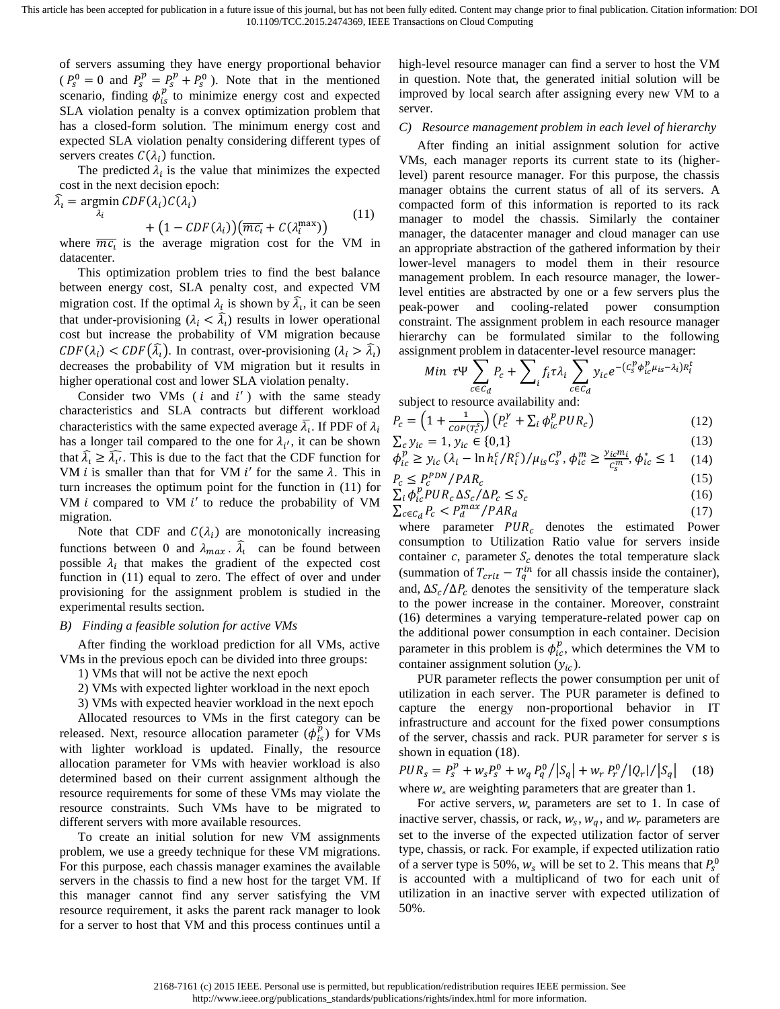<span id="page-7-0"></span> $(11)$ 

of servers assuming they have energy proportional behavior  $(P_s^0 = 0$  and  $P_s^p = P_s^p + P_s^0$ ). Note that in the mentioned scenario, finding  $\phi_{is}^{p}$  to minimize energy cost and expected SLA violation penalty is a convex optimization problem that has a closed-form solution. The minimum energy cost and expected SLA violation penalty considering different types of servers creates  $C(\lambda_i)$  function.

The predicted  $\lambda_i$  is the value that minimizes the expected cost in the next decision epoch:

$$
\widehat{\lambda}_i = \operatorname*{argmin}_{\lambda_i} CDF(\lambda_i)C(\lambda_i)
$$

$$
+\big(1-CDF(\lambda_i)\big)\big(\overline{mc_i}+C(\lambda_i^{\max})\big) \hspace{1cm} (11)
$$

where  $\overline{mc_i}$  is the average migration cost for the VM in datacenter.

This optimization problem tries to find the best balance between energy cost, SLA penalty cost, and expected VM migration cost. If the optimal  $\lambda_i$  is shown by  $\hat{\lambda}_i$ , it can be seen that under-provisioning  $(\lambda_i < \hat{\lambda}_i)$  results in lower operational cost but increase the probability of VM migration because  $CDF(\lambda_i) < CDF(\hat{\lambda_i})$ . In contrast, over-provisioning  $(\lambda_i > \hat{\lambda_i})$ decreases the probability of VM migration but it results in higher operational cost and lower SLA violation penalty.

Consider two VMs  $(i \text{ and } i')$  with the same steady characteristics and SLA contracts but different workload characteristics with the same expected average  $\overline{\lambda}_i$ . If PDF of  $\lambda_i$ has a longer tail compared to the one for  $\lambda_{i'}$ , it can be shown that  $\hat{\lambda}_i \geq \hat{\lambda}_{i'}$ . This is due to the fact that the CDF function for VM *i* is smaller than that for VM  $i'$  for the same  $\lambda$ . This in turn increases the optimum point for the function in [\(11\)](#page-7-0) for VM  $i$  compared to VM  $i'$  to reduce the probability of VM migration.

Note that CDF and  $C(\lambda_i)$  are monotonically increasing functions between 0 and  $\lambda_{max}$ .  $\hat{\lambda}_t$  can be found between possible  $\lambda_i$  that makes the gradient of the expected cost function in [\(11\)](#page-7-0) equal to zero. The effect of over and under provisioning for the assignment problem is studied in the experimental results section.

#### *B) Finding a feasible solution for active VMs*

After finding the workload prediction for all VMs, active VMs in the previous epoch can be divided into three groups:

- 1) VMs that will not be active the next epoch
- 2) VMs with expected lighter workload in the next epoch
- 3) VMs with expected heavier workload in the next epoch

Allocated resources to VMs in the first category can be released. Next, resource allocation parameter  $(\phi_{is}^{p})$  for VMs with lighter workload is updated. Finally, the resource allocation parameter for VMs with heavier workload is also determined based on their current assignment although the resource requirements for some of these VMs may violate the resource constraints. Such VMs have to be migrated to different servers with more available resources.

To create an initial solution for new VM assignments problem, we use a greedy technique for these VM migrations. For this purpose, each chassis manager examines the available servers in the chassis to find a new host for the target VM. If this manager cannot find any server satisfying the VM resource requirement, it asks the parent rack manager to look for a server to host that VM and this process continues until a

high-level resource manager can find a server to host the VM in question. Note that, the generated initial solution will be improved by local search after assigning every new VM to a server.

## *C) Resource management problem in each level of hierarchy*

After finding an initial assignment solution for active VMs, each manager reports its current state to its (higherlevel) parent resource manager. For this purpose, the chassis manager obtains the current status of all of its servers. A compacted form of this information is reported to its rack manager to model the chassis. Similarly the container manager, the datacenter manager and cloud manager can use an appropriate abstraction of the gathered information by their lower-level managers to model them in their resource management problem. In each resource manager, the lowerlevel entities are abstracted by one or a few servers plus the peak-power and cooling-related power consumption constraint. The assignment problem in each resource manager hierarchy can be formulated similar to the following assignment problem in datacenter-level resource manager:

Min 
$$
\tau \Psi \sum_{c \in C_d} P_c + \sum_i f_i \tau \lambda_i \sum_{c \in C_d} y_{ic} e^{-(C_s^p \phi_{ic}^p \mu_{is} - \lambda_i) R_i^t}
$$

subject to resource availability and:

$$
P_c = \left(1 + \frac{1}{\text{COP}(T_c^S)}\right) \left(P_c^{\gamma} + \sum_i \phi_{ic}^p P U R_c\right) \tag{12}
$$

$$
\sum_{c} y_{ic} = 1, y_{ic} \in \{0, 1\}
$$
\n
$$
A^{p} > y_{i} \quad (1 \quad \text{ln } \mathbf{h}^{c}/P^{c}) / y_{i} \quad C^{p} \quad A^{m} > \frac{y_{ic} m_{i}}{A^{*}} \quad A^{*} < 1 \quad (14)
$$

$$
\phi_{ic}^p \ge y_{ic} \left(\lambda_i - \ln h_i^c / R_i^c\right) / \mu_{is} C_s^p, \phi_{ic}^m \ge \frac{y_{ic} m_i}{c_s^m}, \phi_{ic}^* \le 1 \quad (14)
$$
\n
$$
P_c \le P_c^{PDN} / PAR_c \tag{15}
$$

$$
\sum_{i} \Phi_{ic}^{P} P U R_{c} \Delta S_{c} / \Delta P_{c} \le S_{c}
$$
\n(16)

$$
\sum_{c \in C_d} P_c < P_d^{\max} / P A R_d \tag{17}
$$

<span id="page-7-1"></span>where parameter  $PUR_c$  denotes the estimated Power consumption to Utilization Ratio value for servers inside container  $c$ , parameter  $S_c$  denotes the total temperature slack (summation of  $T_{crit} - T_q^{in}$  for all chassis inside the container), and,  $\Delta S_c/\Delta P_c$  denotes the sensitivity of the temperature slack to the power increase in the container. Moreover, constraint [\(16\)](#page-7-1) determines a varying temperature-related power cap on the additional power consumption in each container. Decision parameter in this problem is  $\phi_{ic}^p$ , which determines the VM to container assignment solution  $(y_{ic})$ .

PUR parameter reflects the power consumption per unit of utilization in each server. The PUR parameter is defined to capture the energy non-proportional behavior in IT infrastructure and account for the fixed power consumptions of the server, chassis and rack. PUR parameter for server *s* is shown in equation [\(18\).](#page-7-2)

<span id="page-7-2"></span>
$$
PUR_s = P_s^p + w_s P_s^0 + w_q P_q^0 / |S_q| + w_r P_r^0 / |Q_r| / |S_q|
$$
 (18)  
where  $w_*$  are weighting parameters that are greater than 1.

For active servers,  $w_*$  parameters are set to 1. In case of inactive server, chassis, or rack,  $w_s$ ,  $w_q$ , and  $w_r$  parameters are set to the inverse of the expected utilization factor of server type, chassis, or rack. For example, if expected utilization ratio of a server type is 50%,  $w_s$  will be set to 2. This means that  $P_s^0$ is accounted with a multiplicand of two for each unit of utilization in an inactive server with expected utilization of 50%.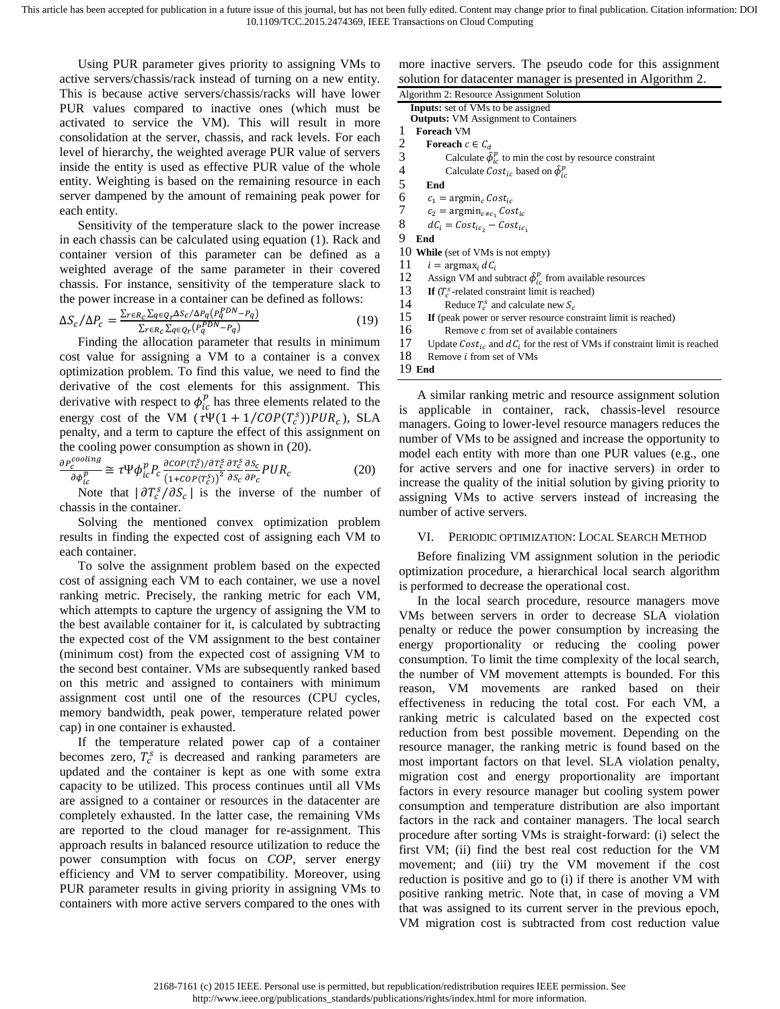Using PUR parameter gives priority to assigning VMs to active servers/chassis/rack instead of turning on a new entity. This is because active servers/chassis/racks will have low PUR values compared to inactive ones (which must activated to service the VM). This will result in mo consolidation at the server, chassis, and rack levels. For ea level of hierarchy, the weighted average PUR value of serve inside the entity is used as effective PUR value of the who entity. Weighting is based on the remaining resource in each server dampened by the amount of remaining peak power f each entity.

Sensitivity of the temperature slack to the power increases in each chassis can be calculated using equation  $(1)$ . Rack and container version of this parameter can be defined as weighted average of the same parameter in their covered chassis. For instance, sensitivity of the temperature slack the power increase in a container can be defined as follows:

$$
\Delta S_c / \Delta P_c = \frac{\sum_{r \in R_c} \sum_{q \in Q_r} \Delta S_c / \Delta P_q (P_q^{PDN} - P_q)}{\sum_{r \in R_c} \sum_{q \in Q_r} (P_q^{PDN} - P_q)}
$$
(19)

Finding the allocation parameter that results in minimum cost value for assigning a VM to a container is a conve optimization problem. To find this value, we need to find th derivative of the cost elements for this assignment. Th derivative with respect to  $\phi_{ic}^p$  has three elements related to the energy cost of the VM  $(\tau \Psi(1 + 1/COP(T_c^s))PUR_c)$ , SLA penalty, and a term to capture the effect of this assignment on the cooling power consumption as shown in [\(20\).](#page-8-1)

$$
\frac{\partial P_c^{cooling}}{\partial \phi_{ic}^p} \cong \tau \Psi \phi_{ic}^p P_c \frac{\partial \text{COP}(T_c^S)/\partial T_c^S}{\left(1 + \text{COP}(T_c^S)\right)^2} \frac{\partial T_c^S}{\partial S_c} \frac{\partial S_c}{\partial P_c} P U R_c \tag{20}
$$

Note that  $|\frac{\partial T_c^s}{\partial S_c}|$  is the inverse of the number of chassis in the container.

Solving the mentioned convex optimization problem results in finding the expected cost of assigning each VM to each container.

To solve the assignment problem based on the expected cost of assigning each VM to each container, we use a novel ranking metric. Precisely, the ranking metric for each VM, which attempts to capture the urgency of assigning the VM to the best available container for it, is calculated by subtracting the expected cost of the VM assignment to the best container (minimum cost) from the expected cost of assigning VM to the second best container. VMs are subsequently ranked based on this metric and assigned to containers with minimum assignment cost until one of the resources (CPU cycles, memory bandwidth, peak power, temperature related power cap) in one container is exhausted.

If the temperature related power cap of a container becomes zero,  $T_c^s$  is decreased and ranking parameters are updated and the container is kept as one with some extra capacity to be utilized. This process continues until all VMs are assigned to a container or resources in the datacenter are completely exhausted. In the latter case, the remaining VMs are reported to the cloud manager for re-assignment. This approach results in balanced resource utilization to reduce the power consumption with focus on *COP*, server energy efficiency and VM to server compatibility. Moreover, using PUR parameter results in giving priority in assigning VMs to containers with more active servers compared to the ones with

more inactive servers. The pseudo code for this assignment solution for datacenter manager is presented in Algorithm 2.

| Algorithm 2: Resource Assignment Solution |
|-------------------------------------------|
|-------------------------------------------|

|    | Algorithm 2: Resource Assignment Solution<br>Inputs: set of VMs to be assigned   |
|----|----------------------------------------------------------------------------------|
|    | <b>Outputs:</b> VM Assignment to Containers                                      |
| T  | <b>Foreach VM</b>                                                                |
| 2  | Foreach $c \in C_d$                                                              |
| 3  | Calculate $\hat{\phi}_{ic}^{p}$ to min the cost by resource constraint           |
| 4  | Calculate Cost <sub>ic</sub> based on $\hat{\phi}_{ic}^{p}$                      |
| 5  | End                                                                              |
| 6  | $c_1$ = argmin <sub>c</sub> Cost <sub>ic</sub>                                   |
| 7  | $c_2 = \text{argmin}_{c \neq c_1} Cost_{ic}$                                     |
| 8  | $dC_i = Cost_{ic_2} - Cost_{ic_1}$                                               |
| 9  | End                                                                              |
|    | 10 While (set of VMs is not empty)                                               |
| 11 | $i = \argmax_i dC_i$                                                             |
| 12 | Assign VM and subtract $\hat{\phi}_{i\sigma}^p$ from available resources         |
| 13 | If $(T_c^s$ -related constraint limit is reached)                                |
| 14 | Reduce $T_c^s$ and calculate new $S_c$                                           |
| 15 | If (peak power or server resource constraint limit is reached)                   |
| 16 | Remove c from set of available containers                                        |
| 17 | Update $Cost_{ic}$ and $dC_i$ for the rest of VMs if constraint limit is reached |
| 18 | Remove <i>i</i> from set of VMs                                                  |
|    | 19 End                                                                           |
|    | $\cdot$                                                                          |
|    |                                                                                  |

<span id="page-8-1"></span>A similar ranking metric and resource assignment solution is applicable in container, rack, chassis-level resource managers. Going to lower-level resource managers reduces the number of VMs to be assigned and increase the opportunity to model each entity with more than one PUR values (e.g., one for active servers and one for inactive servers) in order to increase the quality of the initial solution by giving priority to assigning VMs to active servers instead of increasing the number of active servers.

#### <span id="page-8-0"></span>VI. PERIODIC OPTIMIZATION: LOCAL SEARCH METHOD

Before finalizing VM assignment solution in the periodic optimization procedure, a hierarchical local search algorithm is performed to decrease the operational cost.

In the local search procedure, resource managers move VMs between servers in order to decrease SLA violation penalty or reduce the power consumption by increasing the energy proportionality or reducing the cooling power consumption. To limit the time complexity of the local search, the number of VM movement attempts is bounded. For this reason, VM movements are ranked based on their effectiveness in reducing the total cost. For each VM, a ranking metric is calculated based on the expected cost reduction from best possible movement. Depending on the resource manager, the ranking metric is found based on the most important factors on that level. SLA violation penalty, migration cost and energy proportionality are important factors in every resource manager but cooling system power consumption and temperature distribution are also important factors in the rack and container managers. The local search procedure after sorting VMs is straight-forward: (i) select the first VM; (ii) find the best real cost reduction for the VM movement; and (iii) try the VM movement if the cost reduction is positive and go to (i) if there is another VM with positive ranking metric. Note that, in case of moving a VM that was assigned to its current server in the previous epoch, VM migration cost is subtracted from cost reduction value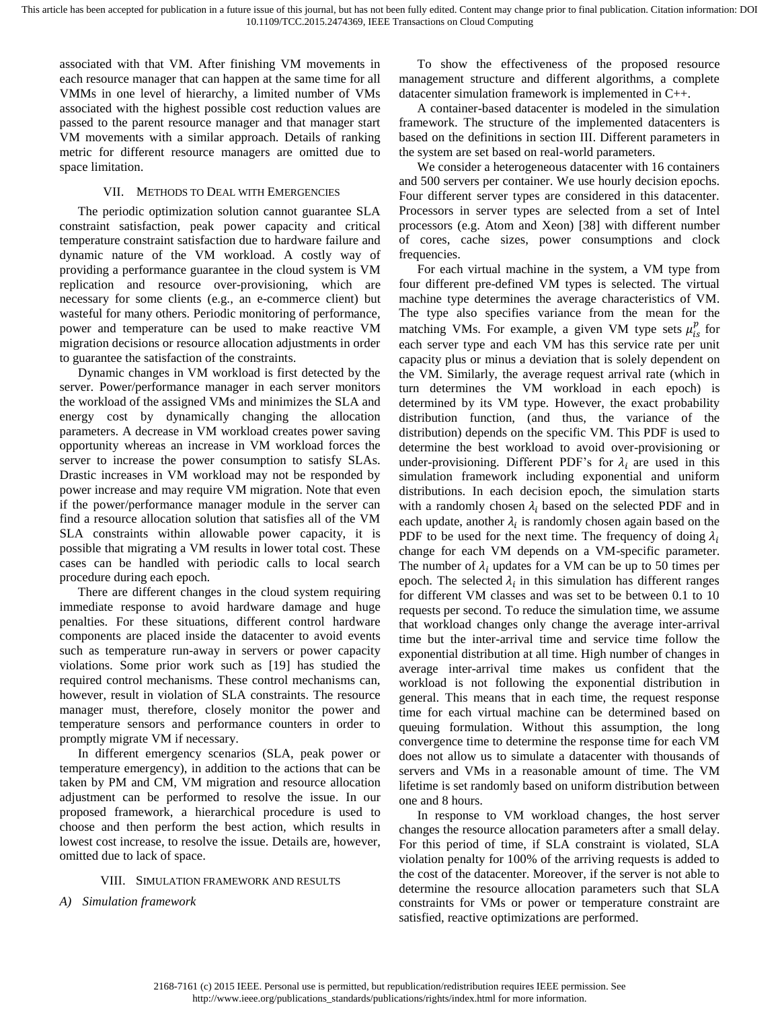associated with that VM. After finishing VM movements in each resource manager that can happen at the same time for all VMMs in one level of hierarchy, a limited number of VMs associated with the highest possible cost reduction values are passed to the parent resource manager and that manager start VM movements with a similar approach. Details of ranking metric for different resource managers are omitted due to space limitation.

## VII. METHODS TO DEAL WITH EMERGENCIES

<span id="page-9-0"></span>The periodic optimization solution cannot guarantee SLA constraint satisfaction, peak power capacity and critical temperature constraint satisfaction due to hardware failure and dynamic nature of the VM workload. A costly way of providing a performance guarantee in the cloud system is VM replication and resource over-provisioning, which are necessary for some clients (e.g., an e-commerce client) but wasteful for many others. Periodic monitoring of performance, power and temperature can be used to make reactive VM migration decisions or resource allocation adjustments in order to guarantee the satisfaction of the constraints.

Dynamic changes in VM workload is first detected by the server. Power/performance manager in each server monitors the workload of the assigned VMs and minimizes the SLA and energy cost by dynamically changing the allocation parameters. A decrease in VM workload creates power saving opportunity whereas an increase in VM workload forces the server to increase the power consumption to satisfy SLAs. Drastic increases in VM workload may not be responded by power increase and may require VM migration. Note that even if the power/performance manager module in the server can find a resource allocation solution that satisfies all of the VM SLA constraints within allowable power capacity, it is possible that migrating a VM results in lower total cost. These cases can be handled with periodic calls to local search procedure during each epoch.

There are different changes in the cloud system requiring immediate response to avoid hardware damage and huge penalties. For these situations, different control hardware components are placed inside the datacenter to avoid events such as temperature run-away in servers or power capacity violations. Some prior work such as [19] has studied the required control mechanisms. These control mechanisms can, however, result in violation of SLA constraints. The resource manager must, therefore, closely monitor the power and temperature sensors and performance counters in order to promptly migrate VM if necessary.

In different emergency scenarios (SLA, peak power or temperature emergency), in addition to the actions that can be taken by PM and CM, VM migration and resource allocation adjustment can be performed to resolve the issue. In our proposed framework, a hierarchical procedure is used to choose and then perform the best action, which results in lowest cost increase, to resolve the issue. Details are, however, omitted due to lack of space.

## VIII. SIMULATION FRAMEWORK AND RESULTS

<span id="page-9-1"></span>*A) Simulation framework*

To show the effectiveness of the proposed resource management structure and different algorithms, a complete datacenter simulation framework is implemented in C++.

A container-based datacenter is modeled in the simulation framework. The structure of the implemented datacenters is based on the definitions in section [III.](#page-2-0) Different parameters in the system are set based on real-world parameters.

We consider a heterogeneous datacenter with 16 containers and 500 servers per container. We use hourly decision epochs. Four different server types are considered in this datacenter. Processors in server types are selected from a set of Intel processors (e.g. Atom and Xeon) [38] with different number of cores, cache sizes, power consumptions and clock frequencies.

For each virtual machine in the system, a VM type from four different pre-defined VM types is selected. The virtual machine type determines the average characteristics of VM. The type also specifies variance from the mean for the matching VMs. For example, a given VM type sets  $\mu_{is}^p$  for each server type and each VM has this service rate per unit capacity plus or minus a deviation that is solely dependent on the VM. Similarly, the average request arrival rate (which in turn determines the VM workload in each epoch) is determined by its VM type. However, the exact probability distribution function, (and thus, the variance of the distribution) depends on the specific VM. This PDF is used to determine the best workload to avoid over-provisioning or under-provisioning. Different PDF's for  $\lambda_i$  are used in this simulation framework including exponential and uniform distributions. In each decision epoch, the simulation starts with a randomly chosen  $\lambda_i$  based on the selected PDF and in each update, another  $\lambda_i$  is randomly chosen again based on the PDF to be used for the next time. The frequency of doing  $\lambda_i$ change for each VM depends on a VM-specific parameter. The number of  $\lambda_i$  updates for a VM can be up to 50 times per epoch. The selected  $\lambda_i$  in this simulation has different ranges for different VM classes and was set to be between 0.1 to 10 requests per second. To reduce the simulation time, we assume that workload changes only change the average inter-arrival time but the inter-arrival time and service time follow the exponential distribution at all time. High number of changes in average inter-arrival time makes us confident that the workload is not following the exponential distribution in general. This means that in each time, the request response time for each virtual machine can be determined based on queuing formulation. Without this assumption, the long convergence time to determine the response time for each VM does not allow us to simulate a datacenter with thousands of servers and VMs in a reasonable amount of time. The VM lifetime is set randomly based on uniform distribution between one and 8 hours.

In response to VM workload changes, the host server changes the resource allocation parameters after a small delay. For this period of time, if SLA constraint is violated, SLA violation penalty for 100% of the arriving requests is added to the cost of the datacenter. Moreover, if the server is not able to determine the resource allocation parameters such that SLA constraints for VMs or power or temperature constraint are satisfied, reactive optimizations are performed.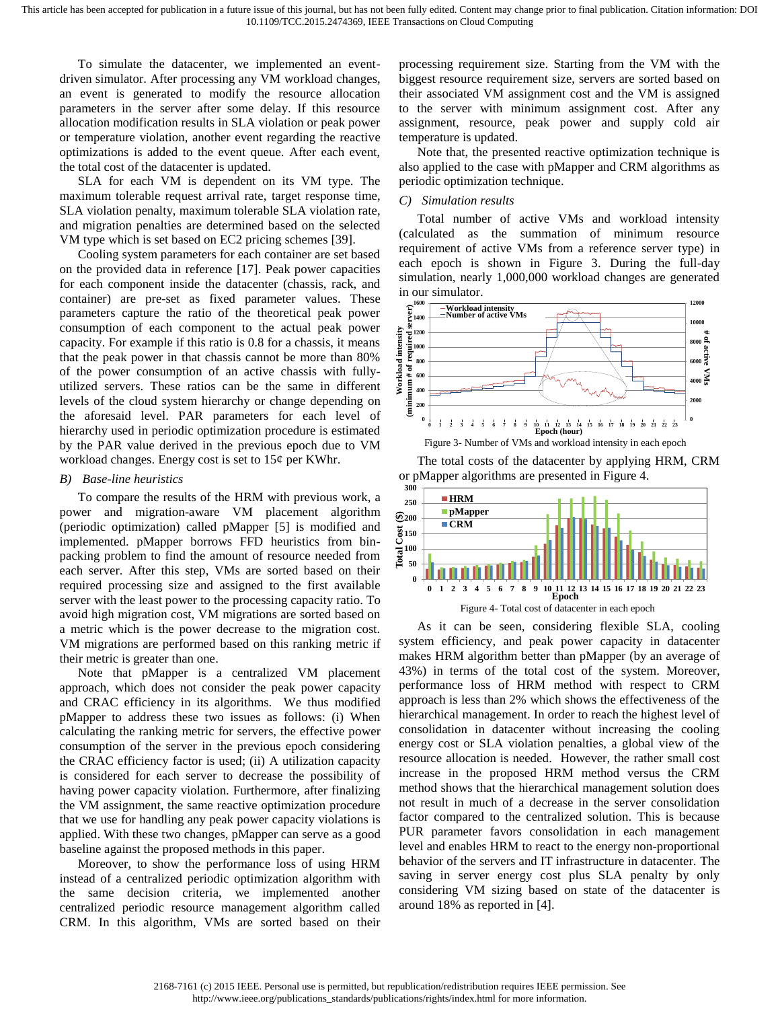To simulate the datacenter, we implemented an eventdriven simulator. After processing any VM workload changes, an event is generated to modify the resource allocation parameters in the server after some delay. If this resource allocation modification results in SLA violation or peak power or temperature violation, another event regarding the reactive optimizations is added to the event queue. After each event, the total cost of the datacenter is updated.

SLA for each VM is dependent on its VM type. The maximum tolerable request arrival rate, target response time, SLA violation penalty, maximum tolerable SLA violation rate, and migration penalties are determined based on the selected VM type which is set based on EC2 pricing schemes [39].

Cooling system parameters for each container are set based on the provided data in reference [17]. Peak power capacities for each component inside the datacenter (chassis, rack, and container) are pre-set as fixed parameter values. These parameters capture the ratio of the theoretical peak power consumption of each component to the actual peak power capacity. For example if this ratio is 0.8 for a chassis, it means that the peak power in that chassis cannot be more than 80% of the power consumption of an active chassis with fullyutilized servers. These ratios can be the same in different levels of the cloud system hierarchy or change depending on the aforesaid level. PAR parameters for each level of hierarchy used in periodic optimization procedure is estimated by the PAR value derived in the previous epoch due to VM workload changes. Energy cost is set to 15¢ per KWhr.

## *B) Base-line heuristics*

To compare the results of the HRM with previous work, a power and migration-aware VM placement algorithm (periodic optimization) called pMapper [5] is modified and implemented. pMapper borrows FFD heuristics from binpacking problem to find the amount of resource needed from each server. After this step, VMs are sorted based on their required processing size and assigned to the first available server with the least power to the processing capacity ratio. To avoid high migration cost, VM migrations are sorted based on a metric which is the power decrease to the migration cost. VM migrations are performed based on this ranking metric if their metric is greater than one.

Note that pMapper is a centralized VM placement approach, which does not consider the peak power capacity and CRAC efficiency in its algorithms. We thus modified pMapper to address these two issues as follows: (i) When calculating the ranking metric for servers, the effective power consumption of the server in the previous epoch considering the CRAC efficiency factor is used; (ii) A utilization capacity is considered for each server to decrease the possibility of having power capacity violation. Furthermore, after finalizing the VM assignment, the same reactive optimization procedure that we use for handling any peak power capacity violations is applied. With these two changes, pMapper can serve as a good baseline against the proposed methods in this paper.

Moreover, to show the performance loss of using HRM instead of a centralized periodic optimization algorithm with the same decision criteria, we implemented another centralized periodic resource management algorithm called CRM. In this algorithm, VMs are sorted based on their

processing requirement size. Starting from the VM with the biggest resource requirement size, servers are sorted based on their associated VM assignment cost and the VM is assigned to the server with minimum assignment cost. After any assignment, resource, peak power and supply cold air temperature is updated.

Note that, the presented reactive optimization technique is also applied to the case with pMapper and CRM algorithms as periodic optimization technique.

## *C) Simulation results*

Total number of active VMs and workload intensity (calculated as the summation of minimum resource requirement of active VMs from a reference server type) in each epoch is shown in [Figure 3.](#page-10-0) During the full-day simulation, nearly 1,000,000 workload changes are generated in our simulator.



<span id="page-10-0"></span>The total costs of the datacenter by applying HRM, CRM or pMapper algorithms are presented i[n Figure 4.](#page-10-1) 



<span id="page-10-1"></span>As it can be seen, considering flexible SLA, cooling system efficiency, and peak power capacity in datacenter makes HRM algorithm better than pMapper (by an average of 43%) in terms of the total cost of the system. Moreover, performance loss of HRM method with respect to CRM approach is less than 2% which shows the effectiveness of the hierarchical management. In order to reach the highest level of consolidation in datacenter without increasing the cooling energy cost or SLA violation penalties, a global view of the resource allocation is needed. However, the rather small cost increase in the proposed HRM method versus the CRM method shows that the hierarchical management solution does not result in much of a decrease in the server consolidation factor compared to the centralized solution. This is because PUR parameter favors consolidation in each management level and enables HRM to react to the energy non-proportional behavior of the servers and IT infrastructure in datacenter. The saving in server energy cost plus SLA penalty by only considering VM sizing based on state of the datacenter is around 18% as reported in [4].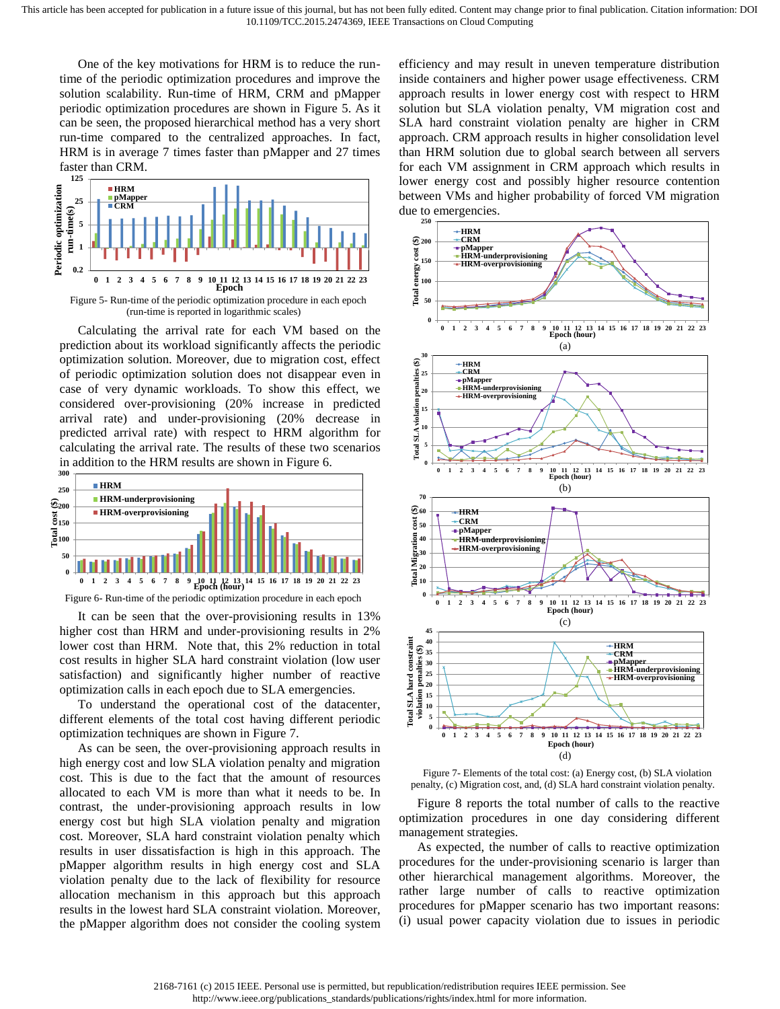One of the key motivations for HRM is to reduce the runtime of the periodic optimization procedures and improve the solution scalability. Run-time of HRM, CRM and pMapper periodic optimization procedures are shown in [Figure 5.](#page-11-0) As it can be seen, the proposed hierarchical method has a very short run-time compared to the centralized approaches. In fact, HRM is in average 7 times faster than pMapper and 27 times faster than CRM.



(run-time is reported in logarithmic scales)

<span id="page-11-0"></span>Calculating the arrival rate for each VM based on the prediction about its workload significantly affects the periodic optimization solution. Moreover, due to migration cost, effect of periodic optimization solution does not disappear even in case of very dynamic workloads. To show this effect, we considered over-provisioning (20% increase in predicted arrival rate) and under-provisioning (20% decrease in predicted arrival rate) with respect to HRM algorithm for calculating the arrival rate. The results of these two scenarios in addition to the HRM results are shown in [Figure 6.](#page-11-1)



<span id="page-11-1"></span>Figure 6- Run-time of the periodic optimization procedure in each epoch

It can be seen that the over-provisioning results in 13% higher cost than HRM and under-provisioning results in 2% lower cost than HRM. Note that, this 2% reduction in total cost results in higher SLA hard constraint violation (low user satisfaction) and significantly higher number of reactive optimization calls in each epoch due to SLA emergencies.

To understand the operational cost of the datacenter, different elements of the total cost having different periodic optimization techniques are shown i[n Figure 7.](#page-11-2)

As can be seen, the over-provisioning approach results in high energy cost and low SLA violation penalty and migration cost. This is due to the fact that the amount of resources allocated to each VM is more than what it needs to be. In contrast, the under-provisioning approach results in low energy cost but high SLA violation penalty and migration cost. Moreover, SLA hard constraint violation penalty which results in user dissatisfaction is high in this approach. The pMapper algorithm results in high energy cost and SLA violation penalty due to the lack of flexibility for resource allocation mechanism in this approach but this approach results in the lowest hard SLA constraint violation. Moreover, the pMapper algorithm does not consider the cooling system

efficiency and may result in uneven temperature distribution inside containers and higher power usage effectiveness. CRM approach results in lower energy cost with respect to HRM solution but SLA violation penalty, VM migration cost and SLA hard constraint violation penalty are higher in CRM approach. CRM approach results in higher consolidation level than HRM solution due to global search between all servers for each VM assignment in CRM approach which results in lower energy cost and possibly higher resource contention between VMs and higher probability of forced VM migration due to emergencies.



<span id="page-11-2"></span>Figure 7- Elements of the total cost: (a) Energy cost, (b) SLA violation penalty, (c) Migration cost, and, (d) SLA hard constraint violation penalty.

[Figure 8](#page-12-0) reports the total number of calls to the reactive optimization procedures in one day considering different management strategies.

As expected, the number of calls to reactive optimization procedures for the under-provisioning scenario is larger than other hierarchical management algorithms. Moreover, the rather large number of calls to reactive optimization procedures for pMapper scenario has two important reasons: (i) usual power capacity violation due to issues in periodic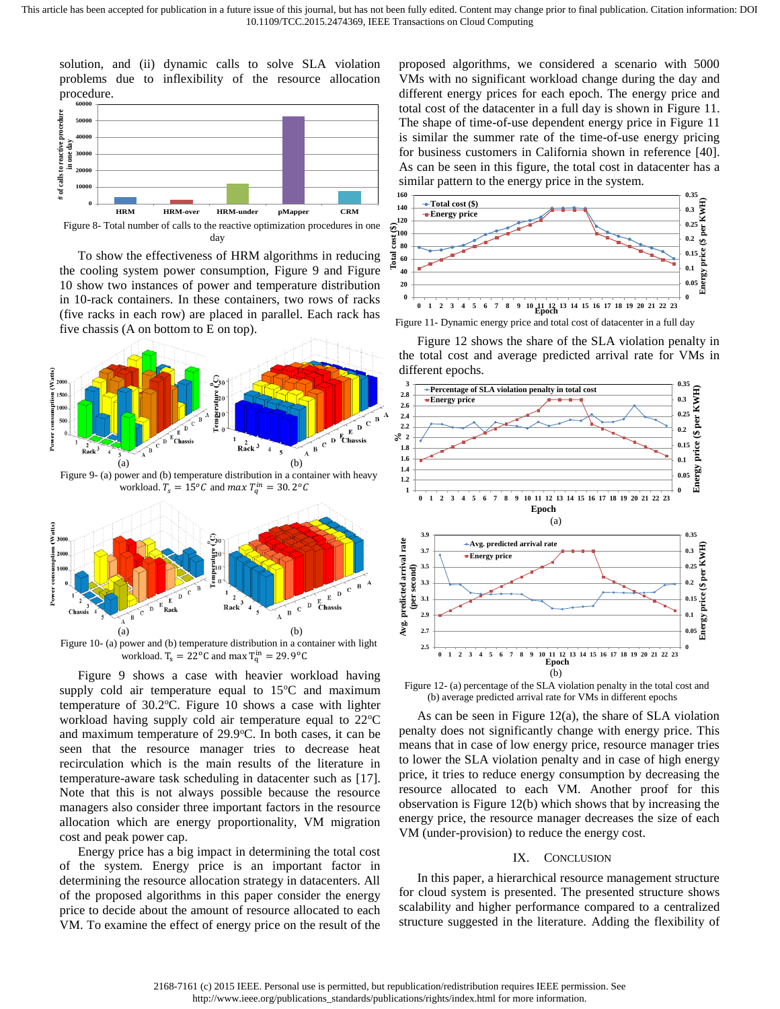solution, and (ii) dynamic calls to solve SLA violation problems due to inflexibility of the resource allocation procedure.



<span id="page-12-0"></span>Figure 8- Total number of calls to the reactive optimization procedures in one day

To show the effectiveness of HRM algorithms in reducing the cooling system power consumption, [Figure 9](#page-12-1) and [Figure](#page-12-2)  [10](#page-12-2) show two instances of power and temperature distribution in 10-rack containers. In these containers, two rows of racks (five racks in each row) are placed in parallel. Each rack has five chassis (A on bottom to E on top).



<span id="page-12-1"></span>Figure 9- (a) power and (b) temperature distribution in a container with heavy workload.  $T_s = 15^{\circ}C$  and  $max T_q^{in} = 30.2^{\circ}C$ 



<span id="page-12-2"></span>Figure 10- (a) power and (b) temperature distribution in a container with light workload. T<sub>s</sub> = 22<sup>o</sup>C and max T<sub>q</sub><sup>in</sup> = 29.9<sup>o</sup>C

[Figure 9](#page-12-1) shows a case with heavier workload having supply cold air temperature equal to  $15^{\circ}$ C and maximum temperature of  $30.2$ °C. [Figure 10](#page-12-2) shows a case with lighter workload having supply cold air temperature equal to  $22^{\circ}C$ and maximum temperature of  $29.9^{\circ}$ C. In both cases, it can be seen that the resource manager tries to decrease heat recirculation which is the main results of the literature in temperature-aware task scheduling in datacenter such as [17]. Note that this is not always possible because the resource managers also consider three important factors in the resource allocation which are energy proportionality, VM migration cost and peak power cap.

Energy price has a big impact in determining the total cost of the system. Energy price is an important factor in determining the resource allocation strategy in datacenters. All of the proposed algorithms in this paper consider the energy price to decide about the amount of resource allocated to each VM. To examine the effect of energy price on the result of the proposed algorithms, we considered a scenario with 5000 VMs with no significant workload change during the day and different energy prices for each epoch. The energy price and total cost of the datacenter in a full day is shown in [Figure 11.](#page-12-3) The shape of time-of-use dependent energy price in [Figure 11](#page-12-3) is similar the summer rate of the time-of-use energy pricing for business customers in California shown in reference [40]. As can be seen in this figure, the total cost in datacenter has a similar pattern to the energy price in the system.



<span id="page-12-3"></span>Figure 11- Dynamic energy price and total cost of datacenter in a full day

[Figure 12](#page-12-4) shows the share of the SLA violation penalty in the total cost and average predicted arrival rate for VMs in different epochs.



<span id="page-12-4"></span>Figure 12- (a) percentage of the SLA violation penalty in the total cost and (b) average predicted arrival rate for VMs in different epochs

As can be seen in [Figure 12\(](#page-12-4)a), the share of SLA violation penalty does not significantly change with energy price. This means that in case of low energy price, resource manager tries to lower the SLA violation penalty and in case of high energy price, it tries to reduce energy consumption by decreasing the resource allocated to each VM. Another proof for this observation i[s Figure 12\(](#page-12-4)b) which shows that by increasing the energy price, the resource manager decreases the size of each VM (under-provision) to reduce the energy cost.

#### IX. CONCLUSION

In this paper, a hierarchical resource management structure for cloud system is presented. The presented structure shows scalability and higher performance compared to a centralized structure suggested in the literature. Adding the flexibility of

<sup>2168-7161 (</sup>c) 2015 IEEE. Personal use is permitted, but republication/redistribution requires IEEE permission. See http://www.ieee.org/publications\_standards/publications/rights/index.html for more information.